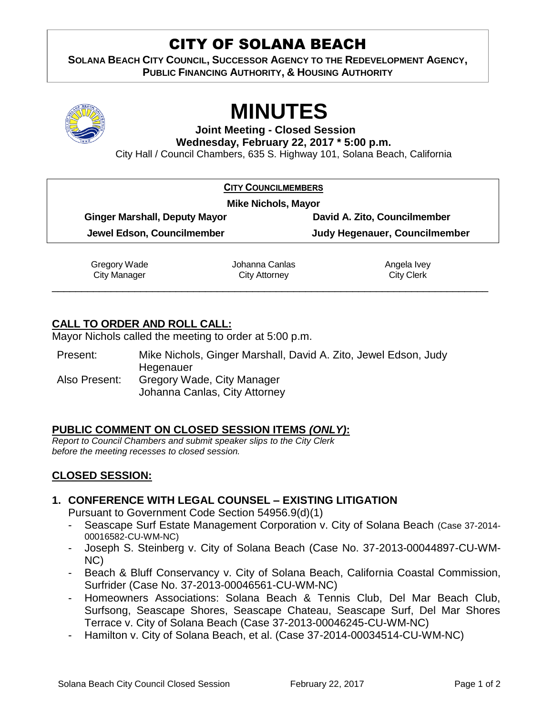# CITY OF SOLANA BEACH

**SOLANA BEACH CITY COUNCIL, SUCCESSOR AGENCY TO THE REDEVELOPMENT AGENCY, PUBLIC FINANCING AUTHORITY, & HOUSING AUTHORITY** 



# **MINUTES**

**Joint Meeting - Closed Session Wednesday, February 22, 2017 \* 5:00 p.m.**

City Hall / Council Chambers, 635 S. Highway 101, Solana Beach, California

|                                      | <b>CITY COUNCILMEMBERS</b>    |
|--------------------------------------|-------------------------------|
| <b>Mike Nichols, Mayor</b>           |                               |
| <b>Ginger Marshall, Deputy Mayor</b> | David A. Zito, Councilmember  |
| Jewel Edson, Councilmember           | Judy Hegenauer, Councilmember |

Gregory Wade City Manager \_\_\_\_\_\_\_\_\_\_\_\_\_\_\_\_\_\_\_\_\_\_\_\_\_\_\_\_\_\_\_\_\_\_\_\_\_\_\_\_\_\_\_\_\_\_\_\_\_\_\_\_\_\_\_\_\_\_\_\_\_\_\_\_\_\_\_\_\_\_\_\_\_\_

Johanna Canlas City Attorney

Angela Ivey City Clerk

## **CALL TO ORDER AND ROLL CALL:**

Mayor Nichols called the meeting to order at 5:00 p.m.

| Present:      | Mike Nichols, Ginger Marshall, David A. Zito, Jewel Edson, Judy |
|---------------|-----------------------------------------------------------------|
|               | Hegenauer                                                       |
| Also Present: | Gregory Wade, City Manager                                      |
|               | Johanna Canlas, City Attorney                                   |

### **PUBLIC COMMENT ON CLOSED SESSION ITEMS** *(ONLY)***:**

*Report to Council Chambers and submit speaker slips to the City Clerk before the meeting recesses to closed session.*

### **CLOSED SESSION:**

#### **1. CONFERENCE WITH LEGAL COUNSEL – EXISTING LITIGATION**

Pursuant to Government Code Section 54956.9(d)(1)

- Seascape Surf Estate Management Corporation v. City of Solana Beach (Case 37-2014- 00016582-CU-WM-NC)
- Joseph S. Steinberg v. City of Solana Beach (Case No. 37-2013-00044897-CU-WM-NC)
- Beach & Bluff Conservancy v. City of Solana Beach, California Coastal Commission, Surfrider (Case No. 37-2013-00046561-CU-WM-NC)
- Homeowners Associations: Solana Beach & Tennis Club, Del Mar Beach Club, Surfsong, Seascape Shores, Seascape Chateau, Seascape Surf, Del Mar Shores Terrace v. City of Solana Beach (Case 37-2013-00046245-CU-WM-NC)
- Hamilton v. City of Solana Beach, et al. (Case 37-2014-00034514-CU-WM-NC)